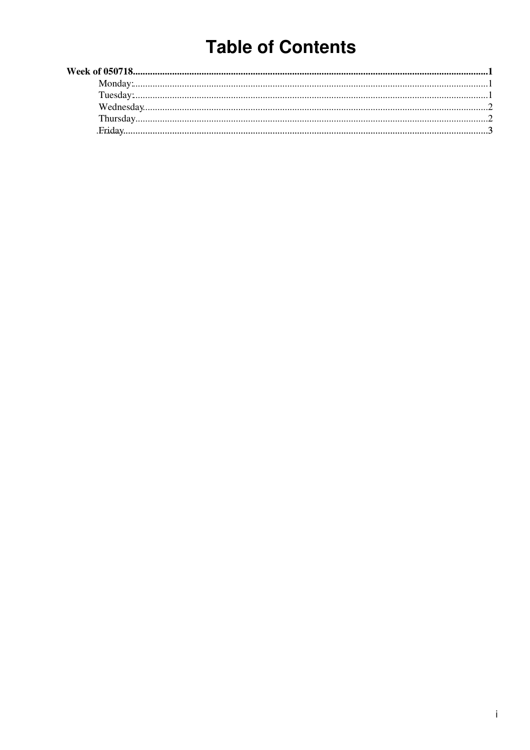# **Table of Contents**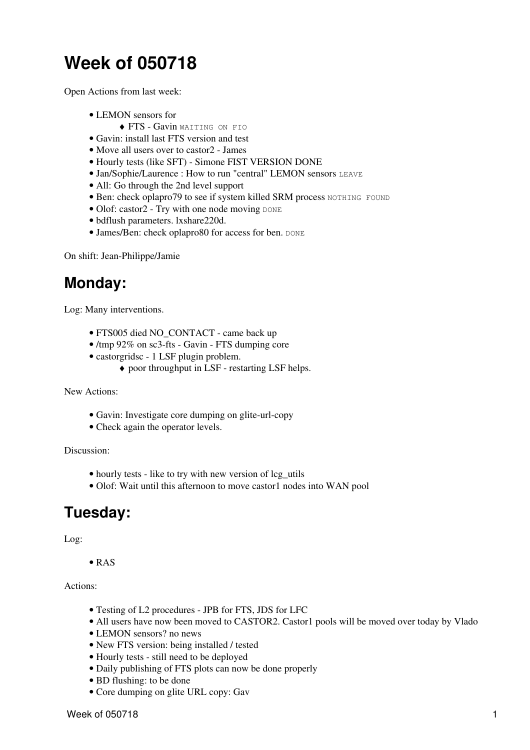## <span id="page-1-0"></span>**Week of 050718**

Open Actions from last week:

- LEMON sensors for
	- ♦ FTS Gavin WAITING ON FIO
- Gavin: install last FTS version and test
- Move all users over to castor<sub>2</sub> James
- Hourly tests (like SFT) Simone FIST VERSION DONE
- Jan/Sophie/Laurence : How to run "central" LEMON sensors LEAVE
- All: Go through the 2nd level support
- Ben: check oplapro79 to see if system killed SRM process NOTHING FOUND
- Olof: castor2 Try with one node moving DONE
- bdflush parameters. lxshare220d.
- James/Ben: check oplapro80 for access for ben. DONE

On shift: Jean-Philippe/Jamie

#### <span id="page-1-1"></span>**Monday:**

Log: Many interventions.

- FTS005 died NO\_CONTACT came back up
- /tmp 92% on sc3-fts Gavin FTS dumping core
- castorgridsc 1 [LSF](https://twiki.cern.ch/twiki/bin/view/LCG/LSF) plugin problem.
	- ♦ poor throughput in [LSF](https://twiki.cern.ch/twiki/bin/view/LCG/LSF) restarting [LSF](https://twiki.cern.ch/twiki/bin/view/LCG/LSF) helps.

New Actions:

- Gavin: Investigate core dumping on glite-url-copy
- Check again the operator levels.

Discussion:

- hourly tests like to try with new version of lcg utils
- Olof: Wait until this afternoon to move castor1 nodes into WAN pool

#### <span id="page-1-2"></span>**Tuesday:**

Log:

• RAS

Actions:

- Testing of L2 procedures JPB for FTS, JDS for LFC
- All users have now been moved to CASTOR2. Castor1 pools will be moved over today by Vlado
- LEMON sensors? no news
- New FTS version: being installed / tested
- Hourly tests still need to be deployed
- Daily publishing of FTS plots can now be done properly
- BD flushing: to be done
- Core dumping on glite URL copy: Gav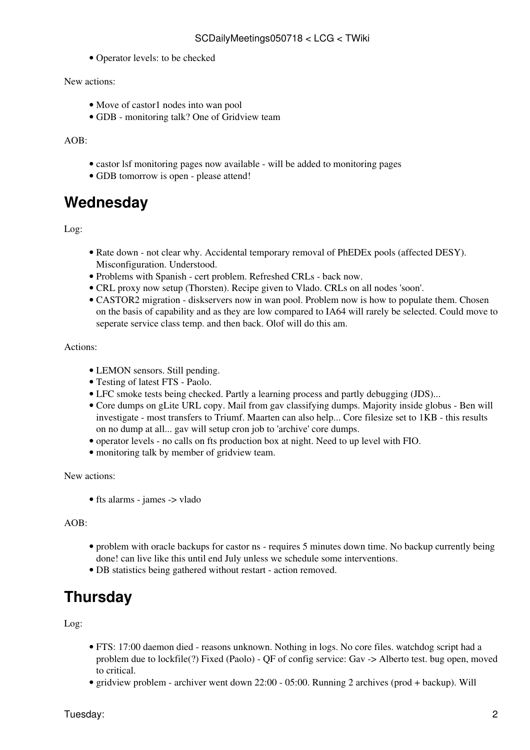• Operator levels: to be checked

New actions:

- Move of castor1 nodes into wan pool
- GDB monitoring talk? One of Gridview team

AOB:

- castor lsf monitoring pages now available will be added to monitoring pages
- GDB tomorrow is open please attend!

### <span id="page-2-0"></span>**Wednesday**

Log:

- Rate down not clear why. Accidental temporary removal of [PhEDEx](https://twiki.cern.ch/twiki/bin/view/LCG/PhEDEx) pools (affected DESY). Misconfiguration. Understood.
- Problems with Spanish cert problem. Refreshed CRLs back now.
- CRL proxy now setup (Thorsten). Recipe given to Vlado. CRLs on all nodes 'soon'.
- CASTOR2 migration diskservers now in wan pool. Problem now is how to populate them. Chosen on the basis of capability and as they are low compared to IA64 will rarely be selected. Could move to seperate service class temp. and then back. Olof will do this am.

Actions:

- LEMON sensors. Still pending.
- Testing of latest FTS Paolo.
- LFC smoke tests being checked. Partly a learning process and partly debugging (JDS)...
- Core dumps on gLite URL copy. Mail from gav classifying dumps. Majority inside globus Ben will investigate - most transfers to Triumf. Maarten can also help... Core filesize set to 1KB - this results on no dump at all... gav will setup cron job to 'archive' core dumps.
- operator levels no calls on fts production box at night. Need to up level with FIO.
- monitoring talk by member of gridview team.

New actions:

• fts alarms - james -> vlado

#### $AOB$

- problem with oracle backups for castor ns requires 5 minutes down time. No backup currently being done! can live like this until end July unless we schedule some interventions.
- DB statistics being gathered without restart action removed.

## <span id="page-2-1"></span>**Thursday**

Log:

- FTS: 17:00 daemon died reasons unknown. Nothing in logs. No core files. watchdog script had a problem due to lockfile(?) Fixed (Paolo) - QF of config service: Gav -> Alberto test. bug open, moved to critical.
- gridview problem archiver went down 22:00 05:00. Running 2 archives (prod + backup). Will